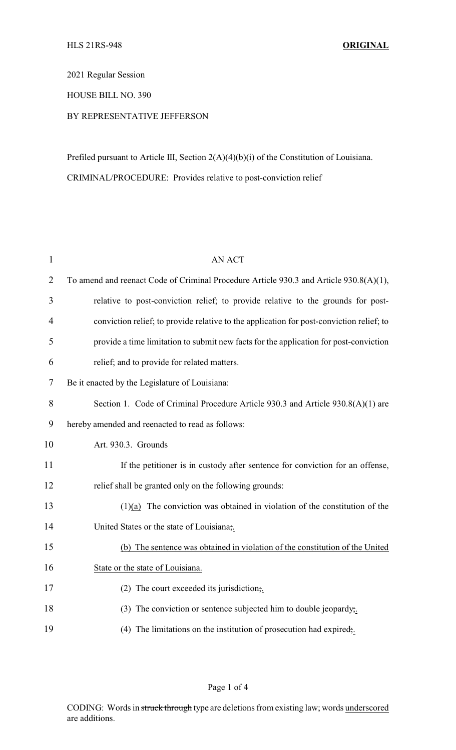2021 Regular Session

HOUSE BILL NO. 390

## BY REPRESENTATIVE JEFFERSON

Prefiled pursuant to Article III, Section 2(A)(4)(b)(i) of the Constitution of Louisiana. CRIMINAL/PROCEDURE: Provides relative to post-conviction relief

| 1              | <b>AN ACT</b>                                                                            |
|----------------|------------------------------------------------------------------------------------------|
| $\overline{2}$ | To amend and reenact Code of Criminal Procedure Article 930.3 and Article 930.8(A)(1),   |
| 3              | relative to post-conviction relief; to provide relative to the grounds for post-         |
| $\overline{4}$ | conviction relief; to provide relative to the application for post-conviction relief; to |
| 5              | provide a time limitation to submit new facts for the application for post-conviction    |
| 6              | relief; and to provide for related matters.                                              |
| 7              | Be it enacted by the Legislature of Louisiana:                                           |
| 8              | Section 1. Code of Criminal Procedure Article 930.3 and Article 930.8(A)(1) are          |
| 9              | hereby amended and reenacted to read as follows:                                         |
| 10             | Art. 930.3. Grounds                                                                      |
| 11             | If the petitioner is in custody after sentence for conviction for an offense,            |
| 12             | relief shall be granted only on the following grounds:                                   |
| 13             | $(1)(a)$ The conviction was obtained in violation of the constitution of the             |
| 14             | United States or the state of Louisiana,.                                                |
| 15             | (b) The sentence was obtained in violation of the constitution of the United             |
| 16             | State or the state of Louisiana.                                                         |
| 17             | $(2)$ The court exceeded its jurisdiction;                                               |
| 18             | (3) The conviction or sentence subjected him to double jeopardy,.                        |
| 19             | (4) The limitations on the institution of prosecution had expired,                       |
|                |                                                                                          |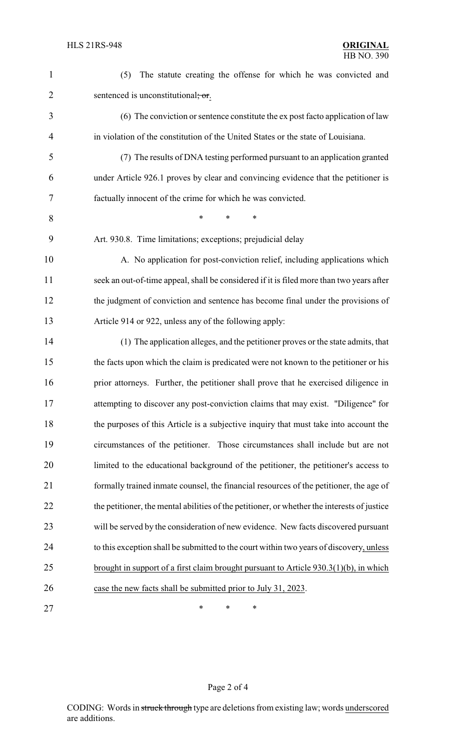| $\mathbf{1}$   | The statute creating the offense for which he was convicted and<br>(5)                      |
|----------------|---------------------------------------------------------------------------------------------|
| $\overline{2}$ | sentenced is unconstitutional, or.                                                          |
| 3              | (6) The conviction or sentence constitute the ex post facto application of law              |
| 4              | in violation of the constitution of the United States or the state of Louisiana.            |
| 5              | (7) The results of DNA testing performed pursuant to an application granted                 |
| 6              | under Article 926.1 proves by clear and convincing evidence that the petitioner is          |
| 7              | factually innocent of the crime for which he was convicted.                                 |
| 8              | $\ast$<br>*<br>*                                                                            |
| 9              | Art. 930.8. Time limitations; exceptions; prejudicial delay                                 |
| 10             | A. No application for post-conviction relief, including applications which                  |
| 11             | seek an out-of-time appeal, shall be considered if it is filed more than two years after    |
| 12             | the judgment of conviction and sentence has become final under the provisions of            |
| 13             | Article 914 or 922, unless any of the following apply:                                      |
| 14             | (1) The application alleges, and the petitioner proves or the state admits, that            |
| 15             | the facts upon which the claim is predicated were not known to the petitioner or his        |
| 16             | prior attorneys. Further, the petitioner shall prove that he exercised diligence in         |
| 17             | attempting to discover any post-conviction claims that may exist. "Diligence" for           |
| 18             | the purposes of this Article is a subjective inquiry that must take into account the        |
| 19             | circumstances of the petitioner. Those circumstances shall include but are not              |
| 20             | limited to the educational background of the petitioner, the petitioner's access to         |
| 21             | formally trained inmate counsel, the financial resources of the petitioner, the age of      |
| 22             | the petitioner, the mental abilities of the petitioner, or whether the interests of justice |
| 23             | will be served by the consideration of new evidence. New facts discovered pursuant          |
| 24             | to this exception shall be submitted to the court within two years of discovery, unless     |
| 25             | brought in support of a first claim brought pursuant to Article $930.3(1)(b)$ , in which    |
| 26             | case the new facts shall be submitted prior to July 31, 2023.                               |
| 27             | ∗<br>∗<br>∗                                                                                 |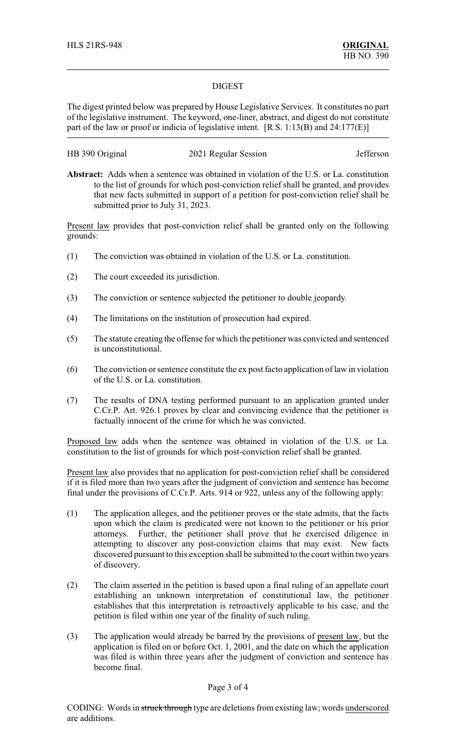#### DIGEST

The digest printed below was prepared by House Legislative Services. It constitutes no part of the legislative instrument. The keyword, one-liner, abstract, and digest do not constitute part of the law or proof or indicia of legislative intent. [R.S. 1:13(B) and 24:177(E)]

### HB 390 Original 2021 Regular Session Jefferson

**Abstract:** Adds when a sentence was obtained in violation of the U.S. or La. constitution to the list of grounds for which post-conviction relief shall be granted, and provides that new facts submitted in support of a petition for post-conviction relief shall be submitted prior to July 31, 2023.

Present law provides that post-conviction relief shall be granted only on the following grounds:

- (1) The conviction was obtained in violation of the U.S. or La. constitution.
- (2) The court exceeded its jurisdiction.
- (3) The conviction or sentence subjected the petitioner to double jeopardy.
- (4) The limitations on the institution of prosecution had expired.
- (5) The statute creating the offense for which the petitioner was convicted and sentenced is unconstitutional.
- (6) The conviction or sentence constitute the ex post facto application of law in violation of the U.S. or La. constitution.
- (7) The results of DNA testing performed pursuant to an application granted under C.Cr.P. Art. 926.1 proves by clear and convincing evidence that the petitioner is factually innocent of the crime for which he was convicted.

Proposed law adds when the sentence was obtained in violation of the U.S. or La. constitution to the list of grounds for which post-conviction relief shall be granted.

Present law also provides that no application for post-conviction relief shall be considered if it is filed more than two years after the judgment of conviction and sentence has become final under the provisions of C.Cr.P. Arts. 914 or 922, unless any of the following apply:

- (1) The application alleges, and the petitioner proves or the state admits, that the facts upon which the claim is predicated were not known to the petitioner or his prior attorneys. Further, the petitioner shall prove that he exercised diligence in attempting to discover any post-conviction claims that may exist. New facts discovered pursuant to this exception shall be submitted to the court within two years of discovery.
- (2) The claim asserted in the petition is based upon a final ruling of an appellate court establishing an unknown interpretation of constitutional law, the petitioner establishes that this interpretation is retroactively applicable to his case, and the petition is filed within one year of the finality of such ruling.
- (3) The application would already be barred by the provisions of present law, but the application is filed on or before Oct. 1, 2001, and the date on which the application was filed is within three years after the judgment of conviction and sentence has become final.

#### Page 3 of 4